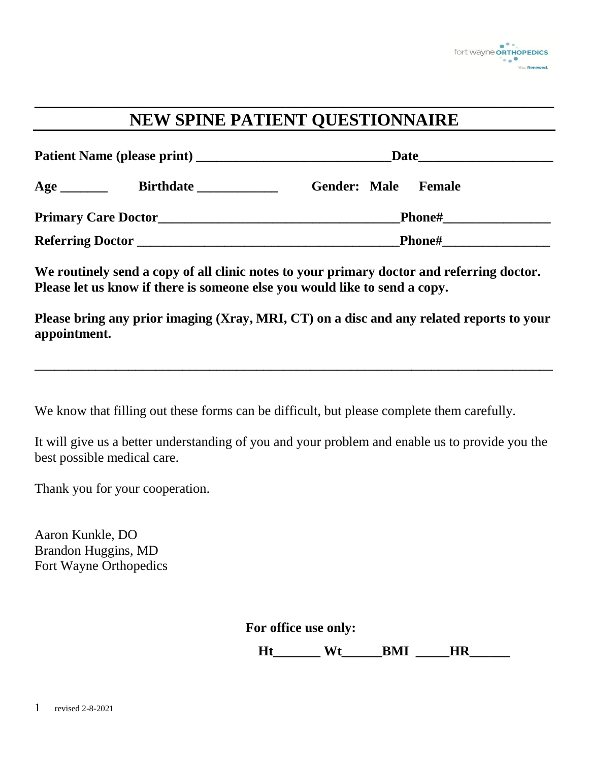

# **NEW SPINE PATIENT QUESTIONNAIRE**

**\_\_\_\_\_\_\_\_\_\_\_\_\_\_\_\_\_\_\_\_\_\_\_\_\_\_\_\_\_\_\_\_\_\_\_\_\_\_\_\_\_\_\_\_\_\_\_\_\_\_\_\_\_\_\_\_\_\_\_\_**

|                         |                                                 | Date                                 |
|-------------------------|-------------------------------------------------|--------------------------------------|
| Age                     | <b>Birthdate</b>                                | <b>Gender: Male</b><br><b>Female</b> |
|                         | <b>Primary Care Doctor Canadian Care Doctor</b> | <b>Phone#</b>                        |
| <b>Referring Doctor</b> |                                                 | <b>Phone#</b>                        |

We routinely send a copy of all clinic notes to your primary doctor and referring doctor. **Please let us know if there is someone else you would like to send a copy.**

**Please bring any prior imaging (Xray, MRI, CT) on a disc and any related reports to your appointment.** 

**\_\_\_\_\_\_\_\_\_\_\_\_\_\_\_\_\_\_\_\_\_\_\_\_\_\_\_\_\_\_\_\_\_\_\_\_\_\_\_\_\_\_\_\_\_\_\_\_\_\_\_\_\_\_\_\_\_\_\_\_\_\_\_\_\_\_\_\_\_\_\_\_\_\_\_\_\_**

We know that filling out these forms can be difficult, but please complete them carefully.

It will give us a better understanding of you and your problem and enable us to provide you the best possible medical care.

Thank you for your cooperation.

Aaron Kunkle, DO Brandon Huggins, MD Fort Wayne Orthopedics

**For office use only:**

**Ht** Wt BMI HR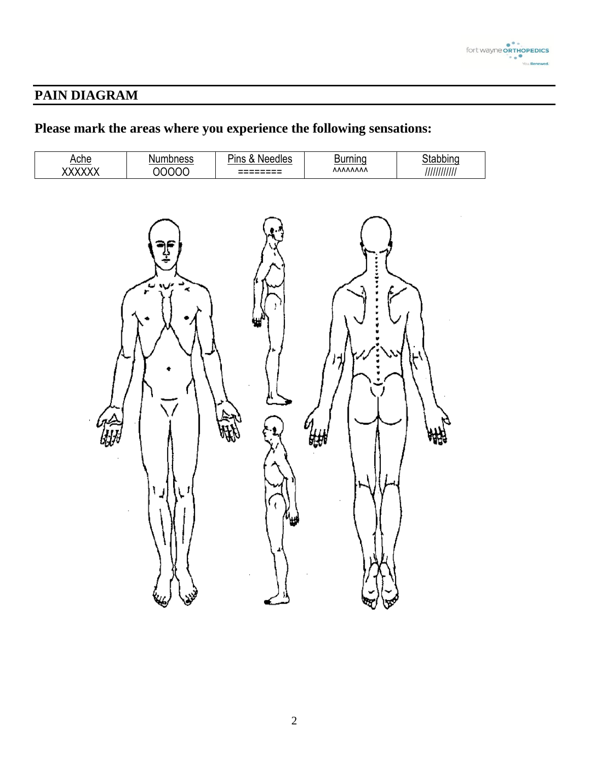

## **PAIN DIAGRAM**

# **Please mark the areas where you experience the following sensations:**

| Ache<br>XXXXXX | Numbness<br>OOOOO                      | Pins & Needles                | $\underbrace{\text{Burning}}_{\text{AMAMA}}$ | Stabbing<br>///////////// |
|----------------|----------------------------------------|-------------------------------|----------------------------------------------|---------------------------|
|                | )f<br>÷<br>$\frac{1}{2}$<br>مبيبة سيتم | ۰.<br>۱.<br>$\theta_{\rm{H}}$ | <br>外<br>ĘП                                  | nge                       |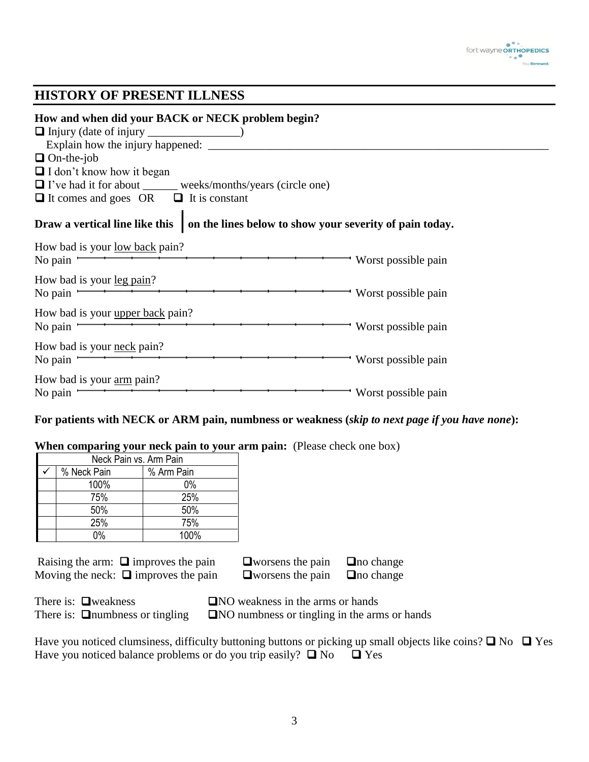

#### **HISTORY OF PRESENT ILLNESS**

| How and when did your BACK or NECK problem begin?                                        |                       |
|------------------------------------------------------------------------------------------|-----------------------|
| $\Box$ On-the-job                                                                        |                       |
| $\Box$ I don't know how it began                                                         |                       |
| □ I've had it for about ______ weeks/months/years (circle one)                           |                       |
| $\Box$ It comes and goes OR $\Box$ It is constant                                        |                       |
| Draw a vertical line like this   on the lines below to show your severity of pain today. |                       |
| How bad is your <u>low back</u> pain?<br>No pain $\overline{\phantom{a}}$                | - Worst possible pain |
| How bad is your <u>leg pain</u> ?<br>No pain $\overline{\phantom{a}}$                    | - Worst possible pain |
| How bad is your <u>upper back</u> pain?<br>No pain $-$                                   | - Worst possible pain |
| How bad is your <u>neck</u> pain?<br>No pain $\overline{\phantom{a}}$                    | - Worst possible pain |
| How bad is your <u>arm</u> pain?<br>No pain $\equiv$                                     | - Worst possible pain |

#### **For patients with NECK or ARM pain, numbness or weakness (***skip to next page if you have none***):**

#### **When comparing your neck pain to your arm pain:** (Please check one box)

| Neck Pain vs. Arm Pain |                           |       |  |  |  |
|------------------------|---------------------------|-------|--|--|--|
|                        | % Neck Pain<br>% Arm Pain |       |  |  |  |
|                        | 100%                      | $0\%$ |  |  |  |
|                        | 75%                       | 25%   |  |  |  |
|                        | 50%                       | 50%   |  |  |  |
|                        | 25%                       | 75%   |  |  |  |
|                        | በ%                        | 100%  |  |  |  |

| Raising the arm: $\Box$ improves the pain | $\Box$ worsens the pain | $\Box$ no change |
|-------------------------------------------|-------------------------|------------------|
| Moving the neck: $\Box$ improves the pain | $\Box$ worsens the pain | $\Box$ no change |

| worsens the pain | $\Box$ no change |
|------------------|------------------|
| worsens the pain | $\Box$ no change |

| There is: $\Box$ weakness             | $\Box$ NO weakness in the arms or hands             |
|---------------------------------------|-----------------------------------------------------|
| There is: $\Box$ numbness or tingling | $\Box$ NO numbness or tingling in the arms or hands |

| Have you noticed clumsiness, difficulty buttoning buttons or picking up small objects like coins? $\Box$ No $\Box$ Yes |  |
|------------------------------------------------------------------------------------------------------------------------|--|
| Have you noticed balance problems or do you trip easily? $\Box$ No $\Box$ Yes                                          |  |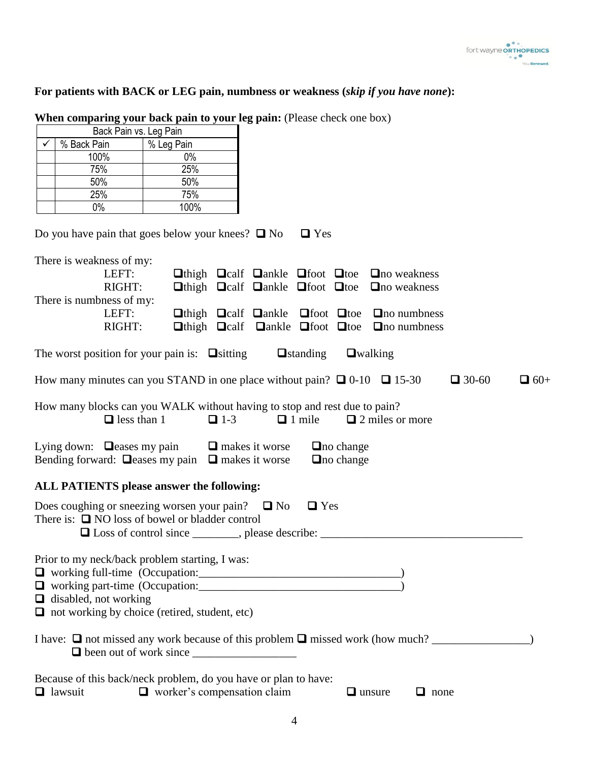#### **For patients with BACK or LEG pain, numbness or weakness (***skip if you have none***):**

| $\checkmark$<br>% Back Pain                                                                                                                                                                                 | % Leg Pain                                               |                       |                               |                                      |                                                                                                                                                                                                                                                                                                                                          |              |            |
|-------------------------------------------------------------------------------------------------------------------------------------------------------------------------------------------------------------|----------------------------------------------------------|-----------------------|-------------------------------|--------------------------------------|------------------------------------------------------------------------------------------------------------------------------------------------------------------------------------------------------------------------------------------------------------------------------------------------------------------------------------------|--------------|------------|
| 100%                                                                                                                                                                                                        | $0\%$                                                    |                       |                               |                                      |                                                                                                                                                                                                                                                                                                                                          |              |            |
| 75%                                                                                                                                                                                                         | 25%                                                      |                       |                               |                                      |                                                                                                                                                                                                                                                                                                                                          |              |            |
| 50%                                                                                                                                                                                                         | 50%                                                      |                       |                               |                                      |                                                                                                                                                                                                                                                                                                                                          |              |            |
| 25%                                                                                                                                                                                                         | 75%                                                      |                       |                               |                                      |                                                                                                                                                                                                                                                                                                                                          |              |            |
| $0\%$                                                                                                                                                                                                       | 100%                                                     |                       |                               |                                      |                                                                                                                                                                                                                                                                                                                                          |              |            |
| Do you have pain that goes below your knees? $\Box$ No<br>There is weakness of my:<br>LEFT:<br>RIGHT:<br>There is numbness of my:<br>LEFT:<br>RIGHT:<br>The worst position for your pain is: $\Box$ sitting |                                                          |                       | $\Box$ Yes<br>$\Box$ standing | $\Box$ walking                       | $\Box$ thigh $\Box$ calf $\Box$ ankle $\Box$ foot $\Box$ toe $\Box$ no weakness<br>$\Box$ thigh $\Box$ calf $\Box$ ankle $\Box$ foot $\Box$ toe $\Box$ no weakness<br>$\Box$ thigh $\Box$ calf $\Box$ ankle $\Box$ foot $\Box$ toe $\Box$ no numbness<br>$\Box$ thigh $\Box$ calf $\Box$ ankle $\Box$ foot $\Box$ toe $\Box$ no numbness |              |            |
| How many minutes can you STAND in one place without pain? $\Box$ 0-10 $\Box$ 15-30                                                                                                                          |                                                          |                       |                               |                                      |                                                                                                                                                                                                                                                                                                                                          | $\Box$ 30-60 | $\Box$ 60+ |
| How many blocks can you WALK without having to stop and rest due to pain?<br>$\Box$ less than 1                                                                                                             | $\Box$ 1-3                                               |                       | $\Box$ 1 mile                 |                                      | $\Box$ 2 miles or more                                                                                                                                                                                                                                                                                                                   |              |            |
| Lying down: $\Box$ eases my pain<br>Bending forward: $\Box$ eases my pain $\Box$ makes it worse                                                                                                             |                                                          | $\Box$ makes it worse |                               | $\Box$ no change<br>$\Box$ no change |                                                                                                                                                                                                                                                                                                                                          |              |            |
| <b>ALL PATIENTS please answer the following:</b>                                                                                                                                                            |                                                          |                       |                               |                                      |                                                                                                                                                                                                                                                                                                                                          |              |            |
| Does coughing or sneezing worsen your pain? $\Box$ No<br>There is: $\Box$ NO loss of bowel or bladder control                                                                                               | □ Loss of control since _________, please describe: ____ |                       | $\Box$ Yes                    |                                      |                                                                                                                                                                                                                                                                                                                                          |              |            |
| Prior to my neck/back problem starting, I was:<br>$\Box$ disabled, not working<br>$\Box$ not working by choice (retired, student, etc)                                                                      |                                                          |                       |                               |                                      |                                                                                                                                                                                                                                                                                                                                          |              |            |
|                                                                                                                                                                                                             |                                                          |                       |                               |                                      |                                                                                                                                                                                                                                                                                                                                          |              |            |
| Because of this back/neck problem, do you have or plan to have:<br>$\Box$ lawsuit                                                                                                                           | $\Box$ worker's compensation claim                       |                       |                               |                                      | $\Box$ unsure<br>$\Box$ none                                                                                                                                                                                                                                                                                                             |              |            |

**When comparing your back pain to your leg pain:** (Please check one box) Back Pain vs. Leg Pain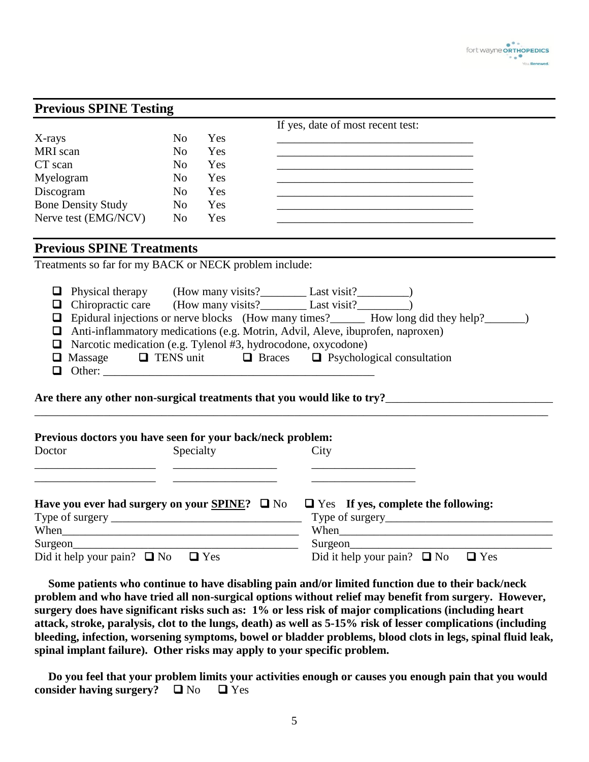

| <b>Previous SPINE Testing</b>                                                                                                                                                                                                                                                                                                                                                                                                            |                |     |                                                                                                                                                                                                                                                                                                                                                                                                                                                                                   |
|------------------------------------------------------------------------------------------------------------------------------------------------------------------------------------------------------------------------------------------------------------------------------------------------------------------------------------------------------------------------------------------------------------------------------------------|----------------|-----|-----------------------------------------------------------------------------------------------------------------------------------------------------------------------------------------------------------------------------------------------------------------------------------------------------------------------------------------------------------------------------------------------------------------------------------------------------------------------------------|
|                                                                                                                                                                                                                                                                                                                                                                                                                                          |                |     | If yes, date of most recent test:                                                                                                                                                                                                                                                                                                                                                                                                                                                 |
| X-rays                                                                                                                                                                                                                                                                                                                                                                                                                                   | N <sub>o</sub> | Yes |                                                                                                                                                                                                                                                                                                                                                                                                                                                                                   |
| MRI scan                                                                                                                                                                                                                                                                                                                                                                                                                                 | N <sub>o</sub> | Yes | the control of the control of the control of the control of the control of the control of                                                                                                                                                                                                                                                                                                                                                                                         |
| CT scan                                                                                                                                                                                                                                                                                                                                                                                                                                  | N <sub>0</sub> | Yes |                                                                                                                                                                                                                                                                                                                                                                                                                                                                                   |
| Myelogram                                                                                                                                                                                                                                                                                                                                                                                                                                | N <sub>o</sub> | Yes |                                                                                                                                                                                                                                                                                                                                                                                                                                                                                   |
| Discogram                                                                                                                                                                                                                                                                                                                                                                                                                                | N <sub>o</sub> | Yes |                                                                                                                                                                                                                                                                                                                                                                                                                                                                                   |
| <b>Bone Density Study</b>                                                                                                                                                                                                                                                                                                                                                                                                                | N <sub>o</sub> | Yes |                                                                                                                                                                                                                                                                                                                                                                                                                                                                                   |
| Nerve test (EMG/NCV)                                                                                                                                                                                                                                                                                                                                                                                                                     | N <sub>o</sub> | Yes |                                                                                                                                                                                                                                                                                                                                                                                                                                                                                   |
| <b>Previous SPINE Treatments</b>                                                                                                                                                                                                                                                                                                                                                                                                         |                |     |                                                                                                                                                                                                                                                                                                                                                                                                                                                                                   |
| Treatments so far for my BACK or NECK problem include:                                                                                                                                                                                                                                                                                                                                                                                   |                |     |                                                                                                                                                                                                                                                                                                                                                                                                                                                                                   |
|                                                                                                                                                                                                                                                                                                                                                                                                                                          |                |     | □ Physical therapy (How many visits? △ Last visit? △ Chiropractic care (How many visits? △ Last visit? △ Last visit? △ Last visit<br><b>Q</b> Epidural injections or nerve blocks (How many times? _______ How long did they help? _______)<br>Anti-inflammatory medications (e.g. Motrin, Advil, Aleve, ibuprofen, naproxen)<br>Narcotic medication (e.g. Tylenol #3, hydrocodone, oxycodone)<br>$\Box$ Massage $\Box$ TENS unit $\Box$ Braces $\Box$ Psychological consultation |
| Previous doctors you have seen for your back/neck problem:<br>Doctor                                                                                                                                                                                                                                                                                                                                                                     | Specialty      |     | City                                                                                                                                                                                                                                                                                                                                                                                                                                                                              |
| Have you ever had surgery on your <b>SPINE?</b> $\Box$ No<br>Type of surgery $\frac{1}{1}$ $\frac{1}{1}$ $\frac{1}{1}$ $\frac{1}{1}$ $\frac{1}{1}$ $\frac{1}{1}$ $\frac{1}{1}$ $\frac{1}{1}$ $\frac{1}{1}$ $\frac{1}{1}$ $\frac{1}{1}$ $\frac{1}{1}$ $\frac{1}{1}$ $\frac{1}{1}$ $\frac{1}{1}$ $\frac{1}{1}$ $\frac{1}{1}$ $\frac{1}{1}$ $\frac{1}{1}$ $\frac{1}{1}$ $\frac{1$<br>Surgeon<br>Did it help your pain? $\Box$ No $\Box$ Yes |                |     | $\Box$ Yes If yes, complete the following:<br>Surgeon                                                                                                                                                                                                                                                                                                                                                                                                                             |

**Some patients who continue to have disabling pain and/or limited function due to their back/neck problem and who have tried all non-surgical options without relief may benefit from surgery. However, surgery does have significant risks such as: 1% or less risk of major complications (including heart attack, stroke, paralysis, clot to the lungs, death) as well as 5-15% risk of lesser complications (including bleeding, infection, worsening symptoms, bowel or bladder problems, blood clots in legs, spinal fluid leak, spinal implant failure). Other risks may apply to your specific problem.**

**Do you feel that your problem limits your activities enough or causes you enough pain that you would consider having surgery?**  $\Box$  No  $\Box$  Yes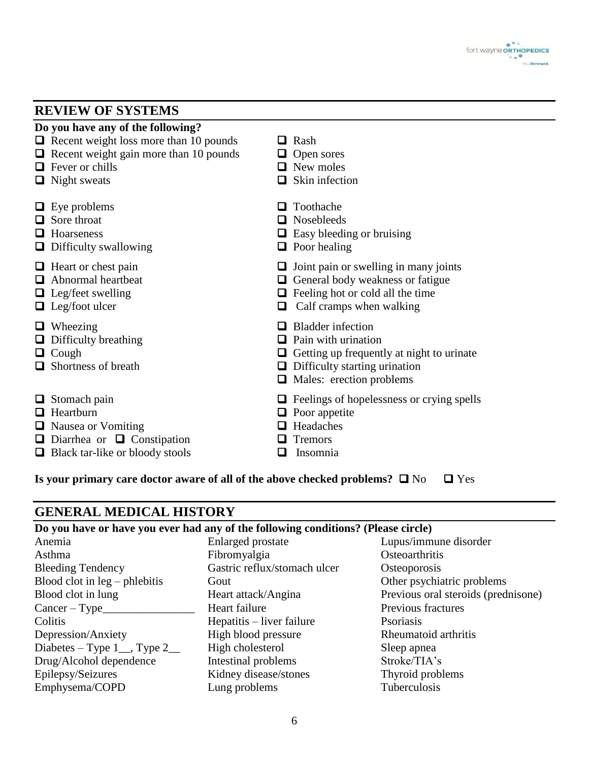

### **REVIEW OF SYSTEMS**

| Do you have any of the following?                                                                                                                  |                                                                                                                                                                                 |
|----------------------------------------------------------------------------------------------------------------------------------------------------|---------------------------------------------------------------------------------------------------------------------------------------------------------------------------------|
| $\Box$ Recent weight loss more than 10 pounds<br>$\Box$ Recent weight gain more than 10 pounds<br>$\Box$ Fever or chills<br>$\Box$ Night sweats    | Rash<br>ப<br>$\Box$ Open sores<br>$\Box$ New moles<br>Skin infection<br>ப                                                                                                       |
| $\Box$ Eye problems<br>Sore throat<br>ப<br>Hoarseness<br>ப<br>$\Box$ Difficulty swallowing                                                         | Toothache<br>ப<br>Nosebleeds<br>ப<br>Easy bleeding or bruising<br>⊔<br>$\Box$ Poor healing                                                                                      |
| $\Box$ Heart or chest pain<br>Abnormal heartbeat<br>ப<br>$\Box$ Leg/feet swelling<br>$\Box$ Leg/foot ulcer                                         | Joint pain or swelling in many joints<br>u<br>General body weakness or fatigue<br>u<br>$\Box$ Feeling hot or cold all the time<br>Calf cramps when walking<br>Q                 |
| $\Box$ Wheezing<br>Difficulty breathing<br>u<br>Cough<br>⊔<br>Shortness of breath                                                                  | <b>Bladder</b> infection<br>⊔<br>Pain with urination<br>ш<br>Getting up frequently at night to urinate<br>u<br>$\Box$ Difficulty starting urination<br>Males: erection problems |
| Stomach pain<br>Heartburn<br>$\Box$<br>$\Box$ Nausea or Vomiting<br>$\Box$ Diarrhea or $\Box$ Constipation<br>Black tar-like or bloody stools<br>u | $\Box$ Feelings of hopelessness or crying spells<br>Poor appetite<br>u.<br>Headaches<br>ப<br><b>Tremors</b><br>Insomnia<br>$\overline{\phantom{a}}$                             |

**Is your primary care doctor aware of all of the above checked problems?**  $\Box$  No  $\Box$  Yes

## **GENERAL MEDICAL HISTORY**

### **Do you have or have you ever had any of the following conditions? (Please circle)**

| Anemia                          | <b>Enlarged</b> prostate     | Lupus/immune disorder               |
|---------------------------------|------------------------------|-------------------------------------|
| Asthma                          | Fibromyalgia                 | Osteoarthritis                      |
| <b>Bleeding Tendency</b>        | Gastric reflux/stomach ulcer | Osteoporosis                        |
| Blood clot in $leg$ – phlebitis | Gout                         | Other psychiatric problems          |
| Blood clot in lung              | Heart attack/Angina          | Previous oral steroids (prednisone) |
| $Cancer - Type$                 | Heart failure                | Previous fractures                  |
| Colitis                         | Hepatitis – liver failure    | Psoriasis                           |
| Depression/Anxiety              | High blood pressure          | Rheumatoid arthritis                |
| Diabetes – Type $1$ , Type $2$  | High cholesterol             | Sleep apnea                         |
| Drug/Alcohol dependence         | Intestinal problems          | Stroke/TIA's                        |
| Epilepsy/Seizures               | Kidney disease/stones        | Thyroid problems                    |
| Emphysema/COPD                  | Lung problems                | Tuberculosis                        |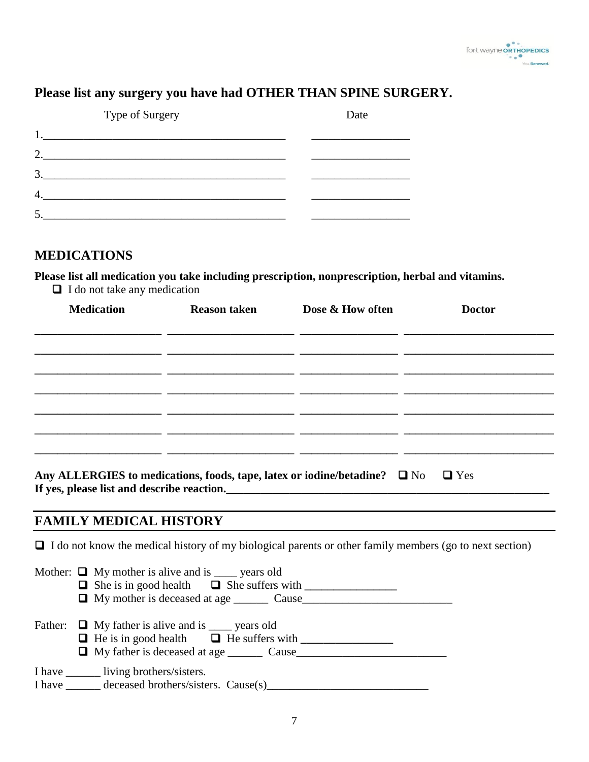

### **Please list any surgery you have had OTHER THAN SPINE SURGERY.**

| Type of Surgery |  |  | Date |  |
|-----------------|--|--|------|--|
|                 |  |  |      |  |
| 2.              |  |  |      |  |
| 3               |  |  |      |  |
| 4               |  |  |      |  |
|                 |  |  |      |  |

#### **MEDICATIONS**

**Please list all medication you take including prescription, nonprescription, herbal and vitamins.**

**<u><b>a**</u> **I** do not take any medication

| <b>Medication</b> | <b>Reason taken</b> | Dose & How often | <b>Doctor</b> |
|-------------------|---------------------|------------------|---------------|
|                   |                     |                  |               |
|                   |                     |                  |               |
|                   |                     |                  |               |
|                   |                     |                  |               |
|                   |                     |                  |               |
|                   |                     |                  |               |
|                   |                     |                  |               |
|                   |                     |                  |               |

| Any ALLERGIES to medications, foods, tape, latex or iodine/betadine? $\Box$ No $\Box$ Yes |  |  |
|-------------------------------------------------------------------------------------------|--|--|
| If yes, please list and describe reaction.                                                |  |  |

#### **FAMILY MEDICAL HISTORY**

 $\Box$  I do not know the medical history of my biological parents or other family members (go to next section)

|  | Mother: $\Box$ My mother is alive and is ____ years old<br>□ My mother is deceased at age <u>cause</u> Cause |
|--|--------------------------------------------------------------------------------------------------------------|
|  | Father: $\Box$ My father is alive and is _____ years old                                                     |
|  | I have _________ living brothers/sisters.<br>I have ______ deceased brothers/sisters. Cause(s)__________     |